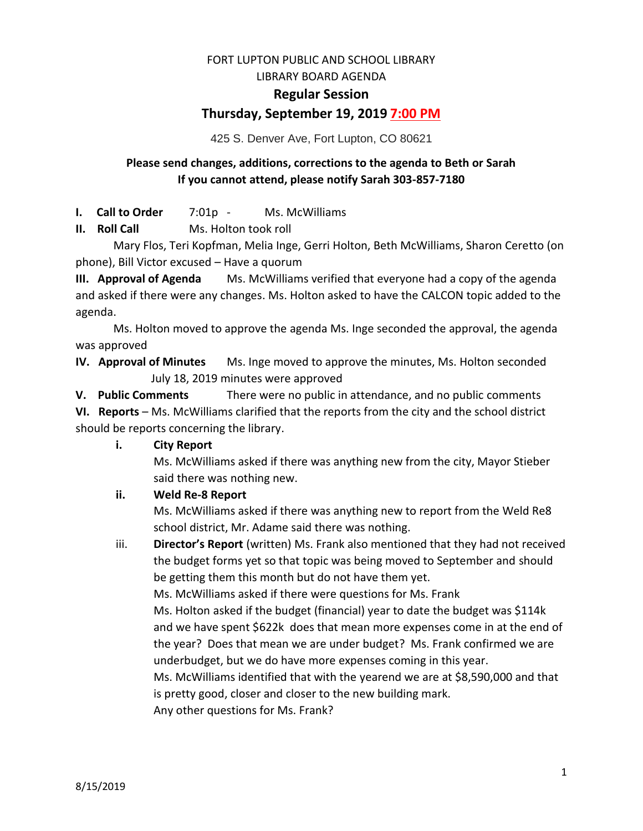# FORT LUPTON PUBLIC AND SCHOOL LIBRARY

LIBRARY BOARD AGENDA

## **Regular Session**

# **Thursday, September 19, 2019 7:00 PM**

425 S. Denver Ave, Fort Lupton, CO 80621

## **Please send changes, additions, corrections to the agenda to Beth or Sarah If you cannot attend, please notify Sarah 303-857-7180**

**I. Call to Order** 7:01p - Ms. McWilliams

**II. Roll Call** Ms. Holton took roll

Mary Flos, Teri Kopfman, Melia Inge, Gerri Holton, Beth McWilliams, Sharon Ceretto (on phone), Bill Victor excused – Have a quorum

**III. Approval of Agenda** Ms. McWilliams verified that everyone had a copy of the agenda and asked if there were any changes. Ms. Holton asked to have the CALCON topic added to the agenda.

Ms. Holton moved to approve the agenda Ms. Inge seconded the approval, the agenda was approved

**IV. Approval of Minutes** Ms. Inge moved to approve the minutes, Ms. Holton seconded July 18, 2019 minutes were approved

**V. Public Comments** There were no public in attendance, and no public comments

**VI. Reports** – Ms. McWilliams clarified that the reports from the city and the school district should be reports concerning the library.

**i. City Report**

Ms. McWilliams asked if there was anything new from the city, Mayor Stieber said there was nothing new.

## **ii. Weld Re-8 Report**

Ms. McWilliams asked if there was anything new to report from the Weld Re8 school district, Mr. Adame said there was nothing.

iii. **Director's Report** (written) Ms. Frank also mentioned that they had not received the budget forms yet so that topic was being moved to September and should be getting them this month but do not have them yet. Ms. McWilliams asked if there were questions for Ms. Frank

Ms. Holton asked if the budget (financial) year to date the budget was \$114k and we have spent \$622k does that mean more expenses come in at the end of the year? Does that mean we are under budget? Ms. Frank confirmed we are underbudget, but we do have more expenses coming in this year.

Ms. McWilliams identified that with the yearend we are at \$8,590,000 and that is pretty good, closer and closer to the new building mark.

Any other questions for Ms. Frank?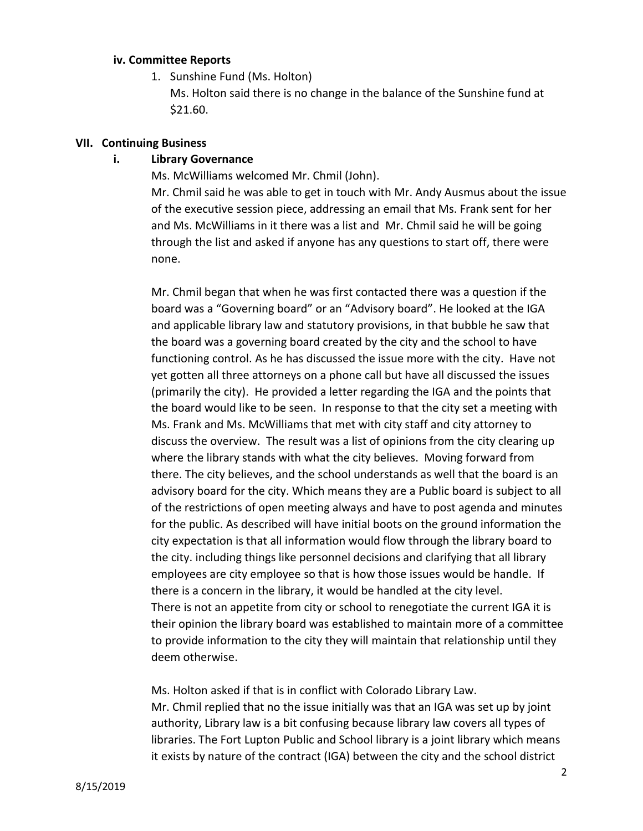#### **iv. Committee Reports**

1. Sunshine Fund (Ms. Holton)

Ms. Holton said there is no change in the balance of the Sunshine fund at \$21.60.

#### **VII. Continuing Business**

## **i. Library Governance**

Ms. McWilliams welcomed Mr. Chmil (John).

Mr. Chmil said he was able to get in touch with Mr. Andy Ausmus about the issue of the executive session piece, addressing an email that Ms. Frank sent for her and Ms. McWilliams in it there was a list and Mr. Chmil said he will be going through the list and asked if anyone has any questions to start off, there were none.

Mr. Chmil began that when he was first contacted there was a question if the board was a "Governing board" or an "Advisory board". He looked at the IGA and applicable library law and statutory provisions, in that bubble he saw that the board was a governing board created by the city and the school to have functioning control. As he has discussed the issue more with the city. Have not yet gotten all three attorneys on a phone call but have all discussed the issues (primarily the city). He provided a letter regarding the IGA and the points that the board would like to be seen. In response to that the city set a meeting with Ms. Frank and Ms. McWilliams that met with city staff and city attorney to discuss the overview. The result was a list of opinions from the city clearing up where the library stands with what the city believes. Moving forward from there. The city believes, and the school understands as well that the board is an advisory board for the city. Which means they are a Public board is subject to all of the restrictions of open meeting always and have to post agenda and minutes for the public. As described will have initial boots on the ground information the city expectation is that all information would flow through the library board to the city. including things like personnel decisions and clarifying that all library employees are city employee so that is how those issues would be handle. If there is a concern in the library, it would be handled at the city level. There is not an appetite from city or school to renegotiate the current IGA it is their opinion the library board was established to maintain more of a committee to provide information to the city they will maintain that relationship until they deem otherwise.

Ms. Holton asked if that is in conflict with Colorado Library Law. Mr. Chmil replied that no the issue initially was that an IGA was set up by joint authority, Library law is a bit confusing because library law covers all types of libraries. The Fort Lupton Public and School library is a joint library which means it exists by nature of the contract (IGA) between the city and the school district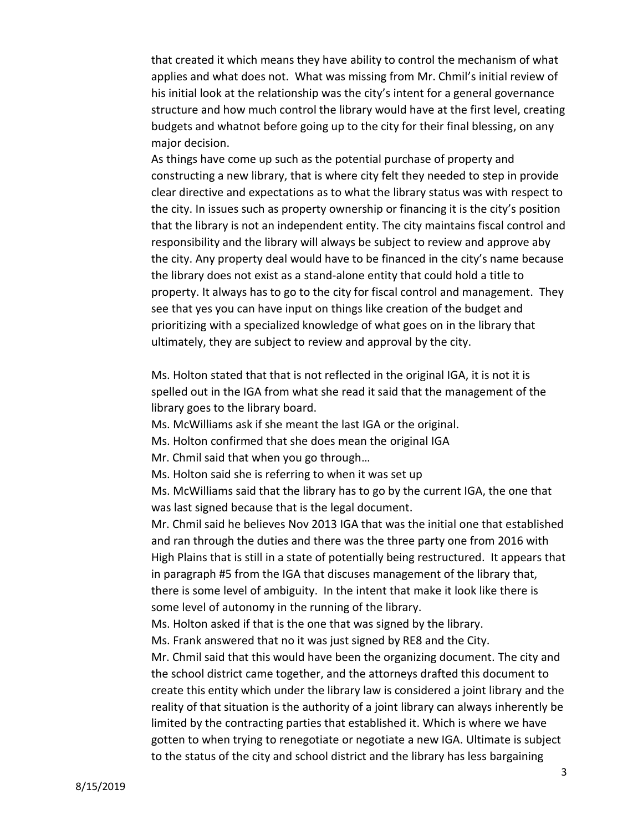that created it which means they have ability to control the mechanism of what applies and what does not. What was missing from Mr. Chmil's initial review of his initial look at the relationship was the city's intent for a general governance structure and how much control the library would have at the first level, creating budgets and whatnot before going up to the city for their final blessing, on any major decision.

As things have come up such as the potential purchase of property and constructing a new library, that is where city felt they needed to step in provide clear directive and expectations as to what the library status was with respect to the city. In issues such as property ownership or financing it is the city's position that the library is not an independent entity. The city maintains fiscal control and responsibility and the library will always be subject to review and approve aby the city. Any property deal would have to be financed in the city's name because the library does not exist as a stand-alone entity that could hold a title to property. It always has to go to the city for fiscal control and management. They see that yes you can have input on things like creation of the budget and prioritizing with a specialized knowledge of what goes on in the library that ultimately, they are subject to review and approval by the city.

Ms. Holton stated that that is not reflected in the original IGA, it is not it is spelled out in the IGA from what she read it said that the management of the library goes to the library board.

Ms. McWilliams ask if she meant the last IGA or the original.

Ms. Holton confirmed that she does mean the original IGA

Mr. Chmil said that when you go through…

Ms. Holton said she is referring to when it was set up

Ms. McWilliams said that the library has to go by the current IGA, the one that was last signed because that is the legal document.

Mr. Chmil said he believes Nov 2013 IGA that was the initial one that established and ran through the duties and there was the three party one from 2016 with High Plains that is still in a state of potentially being restructured. It appears that in paragraph #5 from the IGA that discuses management of the library that, there is some level of ambiguity. In the intent that make it look like there is some level of autonomy in the running of the library.

Ms. Holton asked if that is the one that was signed by the library.

Ms. Frank answered that no it was just signed by RE8 and the City.

Mr. Chmil said that this would have been the organizing document. The city and the school district came together, and the attorneys drafted this document to create this entity which under the library law is considered a joint library and the reality of that situation is the authority of a joint library can always inherently be limited by the contracting parties that established it. Which is where we have gotten to when trying to renegotiate or negotiate a new IGA. Ultimate is subject to the status of the city and school district and the library has less bargaining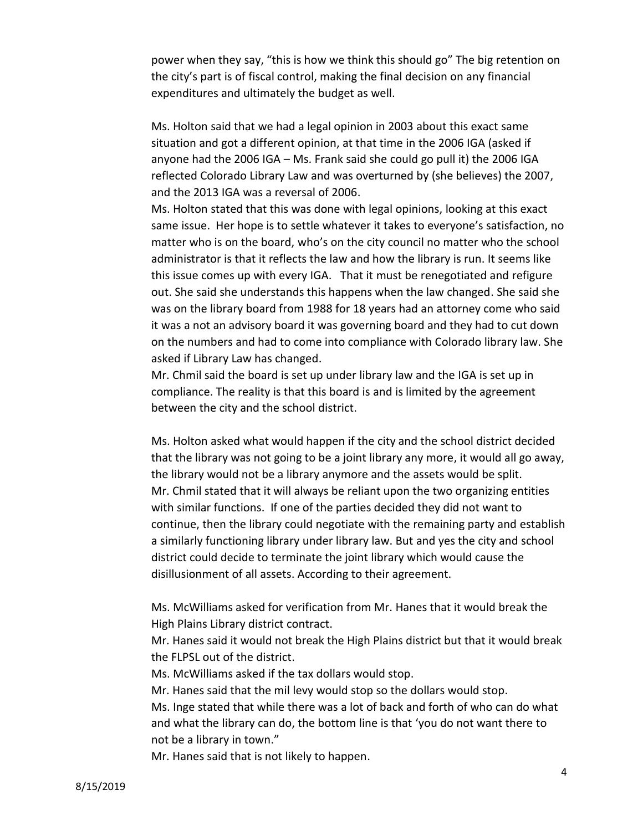power when they say, "this is how we think this should go" The big retention on the city's part is of fiscal control, making the final decision on any financial expenditures and ultimately the budget as well.

Ms. Holton said that we had a legal opinion in 2003 about this exact same situation and got a different opinion, at that time in the 2006 IGA (asked if anyone had the 2006 IGA – Ms. Frank said she could go pull it) the 2006 IGA reflected Colorado Library Law and was overturned by (she believes) the 2007, and the 2013 IGA was a reversal of 2006.

Ms. Holton stated that this was done with legal opinions, looking at this exact same issue. Her hope is to settle whatever it takes to everyone's satisfaction, no matter who is on the board, who's on the city council no matter who the school administrator is that it reflects the law and how the library is run. It seems like this issue comes up with every IGA. That it must be renegotiated and refigure out. She said she understands this happens when the law changed. She said she was on the library board from 1988 for 18 years had an attorney come who said it was a not an advisory board it was governing board and they had to cut down on the numbers and had to come into compliance with Colorado library law. She asked if Library Law has changed.

Mr. Chmil said the board is set up under library law and the IGA is set up in compliance. The reality is that this board is and is limited by the agreement between the city and the school district.

Ms. Holton asked what would happen if the city and the school district decided that the library was not going to be a joint library any more, it would all go away, the library would not be a library anymore and the assets would be split. Mr. Chmil stated that it will always be reliant upon the two organizing entities with similar functions. If one of the parties decided they did not want to continue, then the library could negotiate with the remaining party and establish a similarly functioning library under library law. But and yes the city and school district could decide to terminate the joint library which would cause the disillusionment of all assets. According to their agreement.

Ms. McWilliams asked for verification from Mr. Hanes that it would break the High Plains Library district contract.

Mr. Hanes said it would not break the High Plains district but that it would break the FLPSL out of the district.

Ms. McWilliams asked if the tax dollars would stop.

Mr. Hanes said that the mil levy would stop so the dollars would stop. Ms. Inge stated that while there was a lot of back and forth of who can do what and what the library can do, the bottom line is that 'you do not want there to not be a library in town."

Mr. Hanes said that is not likely to happen.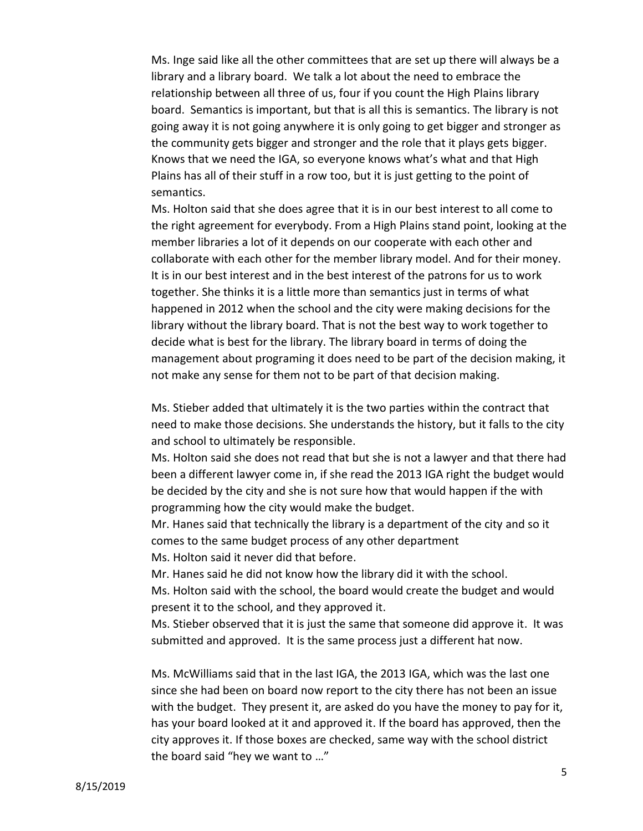Ms. Inge said like all the other committees that are set up there will always be a library and a library board. We talk a lot about the need to embrace the relationship between all three of us, four if you count the High Plains library board. Semantics is important, but that is all this is semantics. The library is not going away it is not going anywhere it is only going to get bigger and stronger as the community gets bigger and stronger and the role that it plays gets bigger. Knows that we need the IGA, so everyone knows what's what and that High Plains has all of their stuff in a row too, but it is just getting to the point of semantics.

Ms. Holton said that she does agree that it is in our best interest to all come to the right agreement for everybody. From a High Plains stand point, looking at the member libraries a lot of it depends on our cooperate with each other and collaborate with each other for the member library model. And for their money. It is in our best interest and in the best interest of the patrons for us to work together. She thinks it is a little more than semantics just in terms of what happened in 2012 when the school and the city were making decisions for the library without the library board. That is not the best way to work together to decide what is best for the library. The library board in terms of doing the management about programing it does need to be part of the decision making, it not make any sense for them not to be part of that decision making.

Ms. Stieber added that ultimately it is the two parties within the contract that need to make those decisions. She understands the history, but it falls to the city and school to ultimately be responsible.

Ms. Holton said she does not read that but she is not a lawyer and that there had been a different lawyer come in, if she read the 2013 IGA right the budget would be decided by the city and she is not sure how that would happen if the with programming how the city would make the budget.

Mr. Hanes said that technically the library is a department of the city and so it comes to the same budget process of any other department

Ms. Holton said it never did that before.

Mr. Hanes said he did not know how the library did it with the school.

Ms. Holton said with the school, the board would create the budget and would present it to the school, and they approved it.

Ms. Stieber observed that it is just the same that someone did approve it. It was submitted and approved. It is the same process just a different hat now.

Ms. McWilliams said that in the last IGA, the 2013 IGA, which was the last one since she had been on board now report to the city there has not been an issue with the budget. They present it, are asked do you have the money to pay for it, has your board looked at it and approved it. If the board has approved, then the city approves it. If those boxes are checked, same way with the school district the board said "hey we want to …"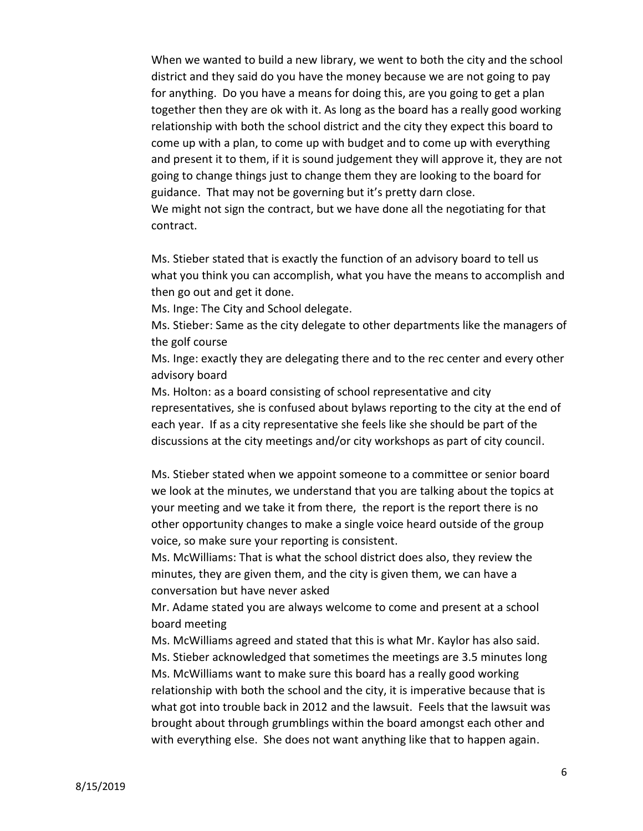When we wanted to build a new library, we went to both the city and the school district and they said do you have the money because we are not going to pay for anything. Do you have a means for doing this, are you going to get a plan together then they are ok with it. As long as the board has a really good working relationship with both the school district and the city they expect this board to come up with a plan, to come up with budget and to come up with everything and present it to them, if it is sound judgement they will approve it, they are not going to change things just to change them they are looking to the board for guidance. That may not be governing but it's pretty darn close. We might not sign the contract, but we have done all the negotiating for that contract.

Ms. Stieber stated that is exactly the function of an advisory board to tell us what you think you can accomplish, what you have the means to accomplish and then go out and get it done.

Ms. Inge: The City and School delegate.

Ms. Stieber: Same as the city delegate to other departments like the managers of the golf course

Ms. Inge: exactly they are delegating there and to the rec center and every other advisory board

Ms. Holton: as a board consisting of school representative and city representatives, she is confused about bylaws reporting to the city at the end of each year. If as a city representative she feels like she should be part of the discussions at the city meetings and/or city workshops as part of city council.

Ms. Stieber stated when we appoint someone to a committee or senior board we look at the minutes, we understand that you are talking about the topics at your meeting and we take it from there, the report is the report there is no other opportunity changes to make a single voice heard outside of the group voice, so make sure your reporting is consistent.

Ms. McWilliams: That is what the school district does also, they review the minutes, they are given them, and the city is given them, we can have a conversation but have never asked

Mr. Adame stated you are always welcome to come and present at a school board meeting

Ms. McWilliams agreed and stated that this is what Mr. Kaylor has also said. Ms. Stieber acknowledged that sometimes the meetings are 3.5 minutes long Ms. McWilliams want to make sure this board has a really good working relationship with both the school and the city, it is imperative because that is what got into trouble back in 2012 and the lawsuit. Feels that the lawsuit was brought about through grumblings within the board amongst each other and with everything else. She does not want anything like that to happen again.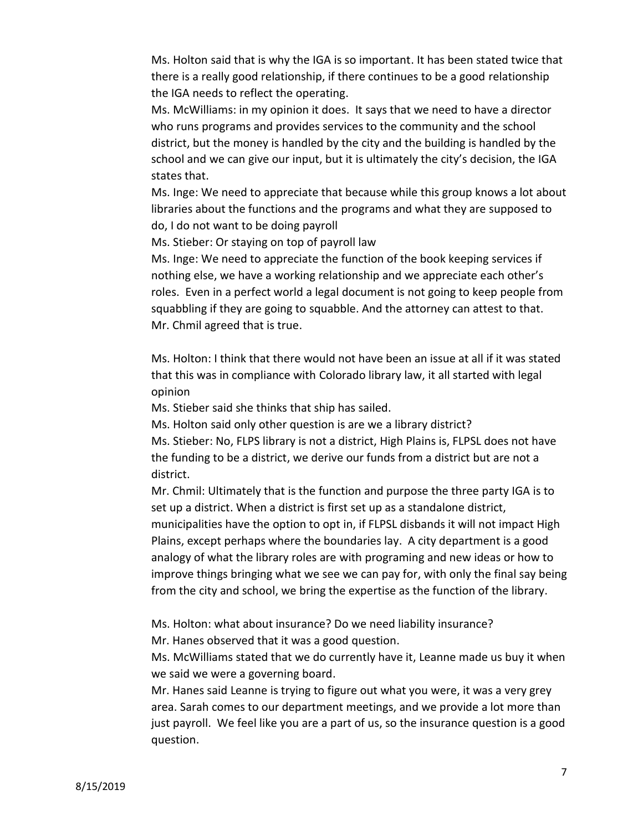Ms. Holton said that is why the IGA is so important. It has been stated twice that there is a really good relationship, if there continues to be a good relationship the IGA needs to reflect the operating.

Ms. McWilliams: in my opinion it does. It says that we need to have a director who runs programs and provides services to the community and the school district, but the money is handled by the city and the building is handled by the school and we can give our input, but it is ultimately the city's decision, the IGA states that.

Ms. Inge: We need to appreciate that because while this group knows a lot about libraries about the functions and the programs and what they are supposed to do, I do not want to be doing payroll

Ms. Stieber: Or staying on top of payroll law

Ms. Inge: We need to appreciate the function of the book keeping services if nothing else, we have a working relationship and we appreciate each other's roles. Even in a perfect world a legal document is not going to keep people from squabbling if they are going to squabble. And the attorney can attest to that. Mr. Chmil agreed that is true.

Ms. Holton: I think that there would not have been an issue at all if it was stated that this was in compliance with Colorado library law, it all started with legal opinion

Ms. Stieber said she thinks that ship has sailed.

Ms. Holton said only other question is are we a library district? Ms. Stieber: No, FLPS library is not a district, High Plains is, FLPSL does not have the funding to be a district, we derive our funds from a district but are not a district.

Mr. Chmil: Ultimately that is the function and purpose the three party IGA is to set up a district. When a district is first set up as a standalone district, municipalities have the option to opt in, if FLPSL disbands it will not impact High Plains, except perhaps where the boundaries lay. A city department is a good analogy of what the library roles are with programing and new ideas or how to improve things bringing what we see we can pay for, with only the final say being from the city and school, we bring the expertise as the function of the library.

Ms. Holton: what about insurance? Do we need liability insurance? Mr. Hanes observed that it was a good question.

Ms. McWilliams stated that we do currently have it, Leanne made us buy it when we said we were a governing board.

Mr. Hanes said Leanne is trying to figure out what you were, it was a very grey area. Sarah comes to our department meetings, and we provide a lot more than just payroll. We feel like you are a part of us, so the insurance question is a good question.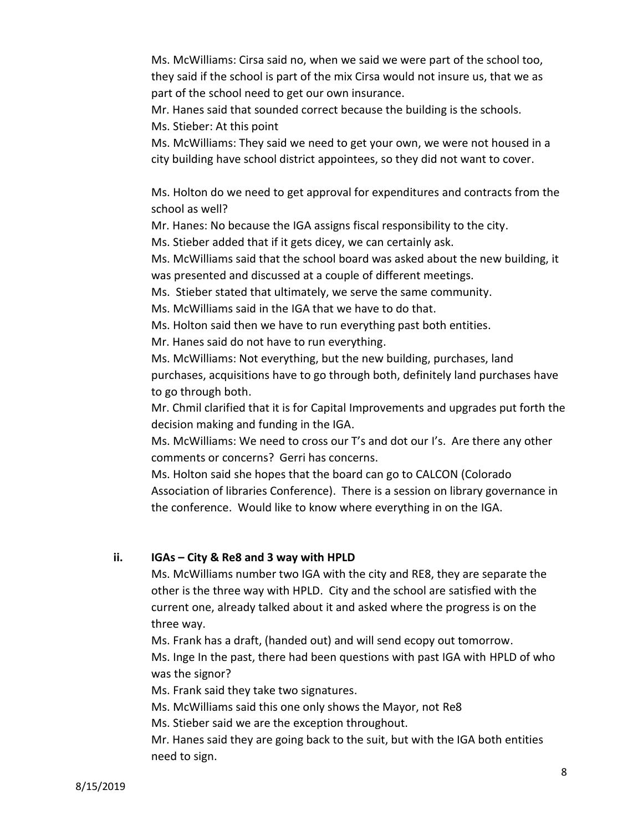Ms. McWilliams: Cirsa said no, when we said we were part of the school too, they said if the school is part of the mix Cirsa would not insure us, that we as part of the school need to get our own insurance.

Mr. Hanes said that sounded correct because the building is the schools. Ms. Stieber: At this point

Ms. McWilliams: They said we need to get your own, we were not housed in a city building have school district appointees, so they did not want to cover.

Ms. Holton do we need to get approval for expenditures and contracts from the school as well?

Mr. Hanes: No because the IGA assigns fiscal responsibility to the city.

Ms. Stieber added that if it gets dicey, we can certainly ask.

Ms. McWilliams said that the school board was asked about the new building, it was presented and discussed at a couple of different meetings.

Ms. Stieber stated that ultimately, we serve the same community.

Ms. McWilliams said in the IGA that we have to do that.

Ms. Holton said then we have to run everything past both entities.

Mr. Hanes said do not have to run everything.

Ms. McWilliams: Not everything, but the new building, purchases, land purchases, acquisitions have to go through both, definitely land purchases have to go through both.

Mr. Chmil clarified that it is for Capital Improvements and upgrades put forth the decision making and funding in the IGA.

Ms. McWilliams: We need to cross our T's and dot our I's. Are there any other comments or concerns? Gerri has concerns.

Ms. Holton said she hopes that the board can go to CALCON (Colorado Association of libraries Conference). There is a session on library governance in the conference. Would like to know where everything in on the IGA.

## **ii. IGAs – City & Re8 and 3 way with HPLD**

Ms. McWilliams number two IGA with the city and RE8, they are separate the other is the three way with HPLD. City and the school are satisfied with the current one, already talked about it and asked where the progress is on the three way.

Ms. Frank has a draft, (handed out) and will send ecopy out tomorrow. Ms. Inge In the past, there had been questions with past IGA with HPLD of who

was the signor?

Ms. Frank said they take two signatures.

Ms. McWilliams said this one only shows the Mayor, not Re8

Ms. Stieber said we are the exception throughout.

Mr. Hanes said they are going back to the suit, but with the IGA both entities need to sign.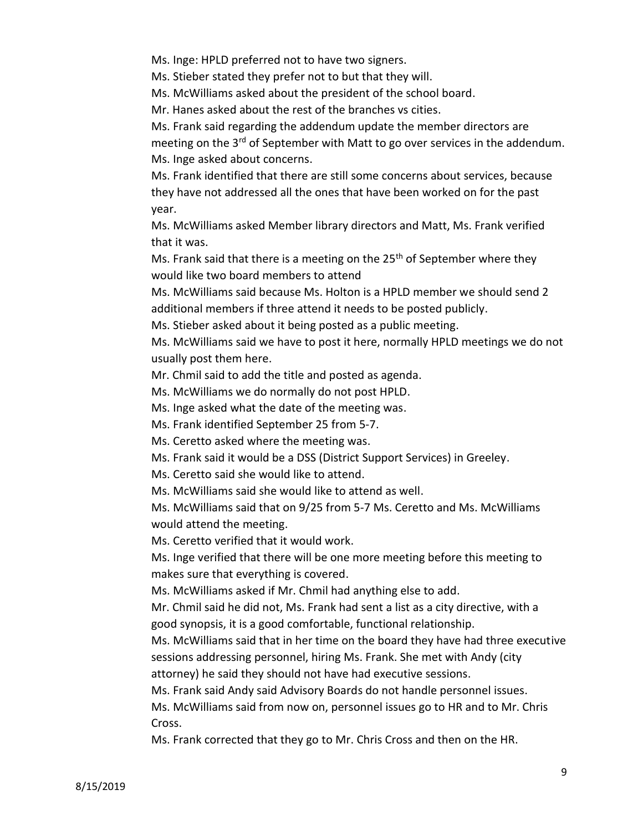Ms. Inge: HPLD preferred not to have two signers.

Ms. Stieber stated they prefer not to but that they will.

Ms. McWilliams asked about the president of the school board.

Mr. Hanes asked about the rest of the branches vs cities.

Ms. Frank said regarding the addendum update the member directors are meeting on the 3<sup>rd</sup> of September with Matt to go over services in the addendum. Ms. Inge asked about concerns.

Ms. Frank identified that there are still some concerns about services, because they have not addressed all the ones that have been worked on for the past year.

Ms. McWilliams asked Member library directors and Matt, Ms. Frank verified that it was.

Ms. Frank said that there is a meeting on the  $25<sup>th</sup>$  of September where they would like two board members to attend

Ms. McWilliams said because Ms. Holton is a HPLD member we should send 2 additional members if three attend it needs to be posted publicly.

Ms. Stieber asked about it being posted as a public meeting.

Ms. McWilliams said we have to post it here, normally HPLD meetings we do not usually post them here.

Mr. Chmil said to add the title and posted as agenda.

Ms. McWilliams we do normally do not post HPLD.

Ms. Inge asked what the date of the meeting was.

Ms. Frank identified September 25 from 5-7.

Ms. Ceretto asked where the meeting was.

Ms. Frank said it would be a DSS (District Support Services) in Greeley.

Ms. Ceretto said she would like to attend.

Ms. McWilliams said she would like to attend as well.

Ms. McWilliams said that on 9/25 from 5-7 Ms. Ceretto and Ms. McWilliams would attend the meeting.

Ms. Ceretto verified that it would work.

Ms. Inge verified that there will be one more meeting before this meeting to makes sure that everything is covered.

Ms. McWilliams asked if Mr. Chmil had anything else to add.

Mr. Chmil said he did not, Ms. Frank had sent a list as a city directive, with a good synopsis, it is a good comfortable, functional relationship.

Ms. McWilliams said that in her time on the board they have had three executive sessions addressing personnel, hiring Ms. Frank. She met with Andy (city attorney) he said they should not have had executive sessions.

Ms. Frank said Andy said Advisory Boards do not handle personnel issues. Ms. McWilliams said from now on, personnel issues go to HR and to Mr. Chris

Cross.

Ms. Frank corrected that they go to Mr. Chris Cross and then on the HR.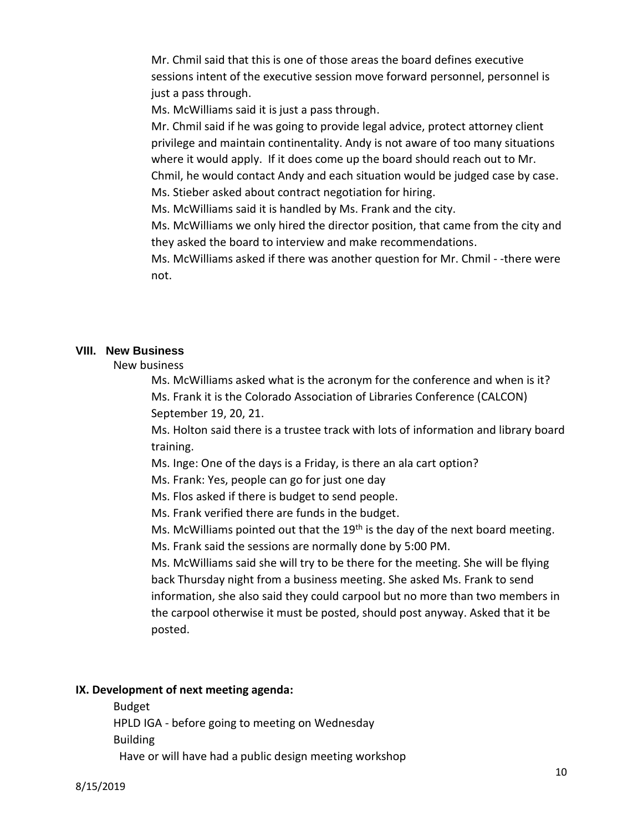Mr. Chmil said that this is one of those areas the board defines executive sessions intent of the executive session move forward personnel, personnel is just a pass through.

Ms. McWilliams said it is just a pass through.

Mr. Chmil said if he was going to provide legal advice, protect attorney client privilege and maintain continentality. Andy is not aware of too many situations where it would apply. If it does come up the board should reach out to Mr. Chmil, he would contact Andy and each situation would be judged case by case. Ms. Stieber asked about contract negotiation for hiring.

Ms. McWilliams said it is handled by Ms. Frank and the city.

Ms. McWilliams we only hired the director position, that came from the city and they asked the board to interview and make recommendations.

Ms. McWilliams asked if there was another question for Mr. Chmil - -there were not.

#### **VIII. New Business**

New business

Ms. McWilliams asked what is the acronym for the conference and when is it? Ms. Frank it is the Colorado Association of Libraries Conference (CALCON) September 19, 20, 21.

Ms. Holton said there is a trustee track with lots of information and library board training.

Ms. Inge: One of the days is a Friday, is there an ala cart option?

Ms. Frank: Yes, people can go for just one day

Ms. Flos asked if there is budget to send people.

Ms. Frank verified there are funds in the budget.

Ms. McWilliams pointed out that the  $19<sup>th</sup>$  is the day of the next board meeting. Ms. Frank said the sessions are normally done by 5:00 PM.

Ms. McWilliams said she will try to be there for the meeting. She will be flying back Thursday night from a business meeting. She asked Ms. Frank to send information, she also said they could carpool but no more than two members in the carpool otherwise it must be posted, should post anyway. Asked that it be posted.

### **IX. Development of next meeting agenda:**

Budget HPLD IGA - before going to meeting on Wednesday Building

Have or will have had a public design meeting workshop